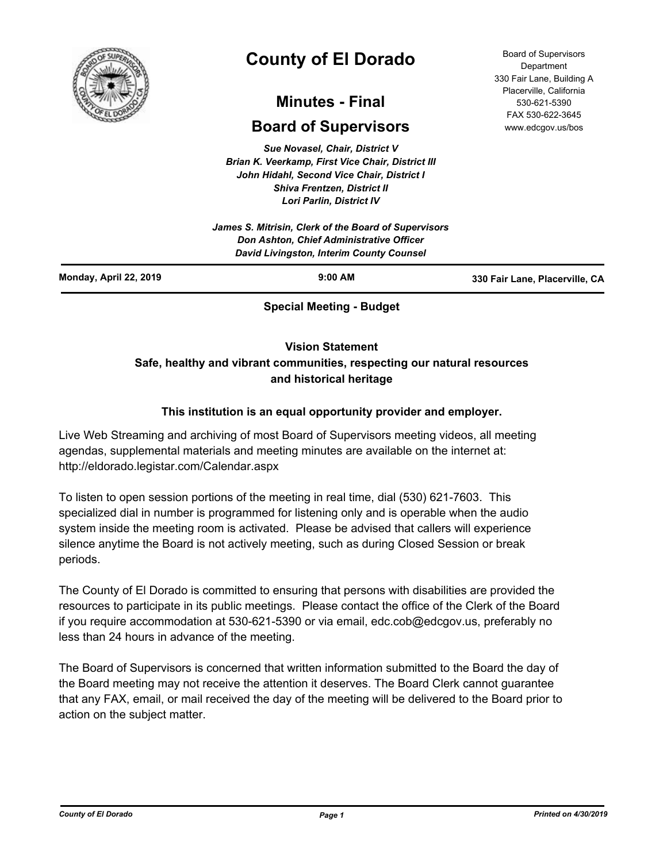

# **County of El Dorado**

## **Minutes - Final**

## **Board of Supervisors**

*Sue Novasel, Chair, District V Brian K. Veerkamp, First Vice Chair, District III John Hidahl, Second Vice Chair, District I Shiva Frentzen, District II Lori Parlin, District IV*

*James S. Mitrisin, Clerk of the Board of Supervisors Don Ashton, Chief Administrative Officer David Livingston, Interim County Counsel*

Board of Supervisors Department 330 Fair Lane, Building A Placerville, California 530-621-5390 FAX 530-622-3645 www.edcgov.us/bos

| Monday, April 22, 2019 | $9:00$ AM                       | 330 Fair Lane, Placerville, CA |
|------------------------|---------------------------------|--------------------------------|
|                        | <b>Special Meeting - Budget</b> |                                |

**Vision Statement** 

### **Safe, healthy and vibrant communities, respecting our natural resources and historical heritage**

### **This institution is an equal opportunity provider and employer.**

Live Web Streaming and archiving of most Board of Supervisors meeting videos, all meeting agendas, supplemental materials and meeting minutes are available on the internet at: http://eldorado.legistar.com/Calendar.aspx

To listen to open session portions of the meeting in real time, dial (530) 621-7603. This specialized dial in number is programmed for listening only and is operable when the audio system inside the meeting room is activated. Please be advised that callers will experience silence anytime the Board is not actively meeting, such as during Closed Session or break periods.

The County of El Dorado is committed to ensuring that persons with disabilities are provided the resources to participate in its public meetings. Please contact the office of the Clerk of the Board if you require accommodation at 530-621-5390 or via email, edc.cob@edcgov.us, preferably no less than 24 hours in advance of the meeting.

The Board of Supervisors is concerned that written information submitted to the Board the day of the Board meeting may not receive the attention it deserves. The Board Clerk cannot guarantee that any FAX, email, or mail received the day of the meeting will be delivered to the Board prior to action on the subject matter.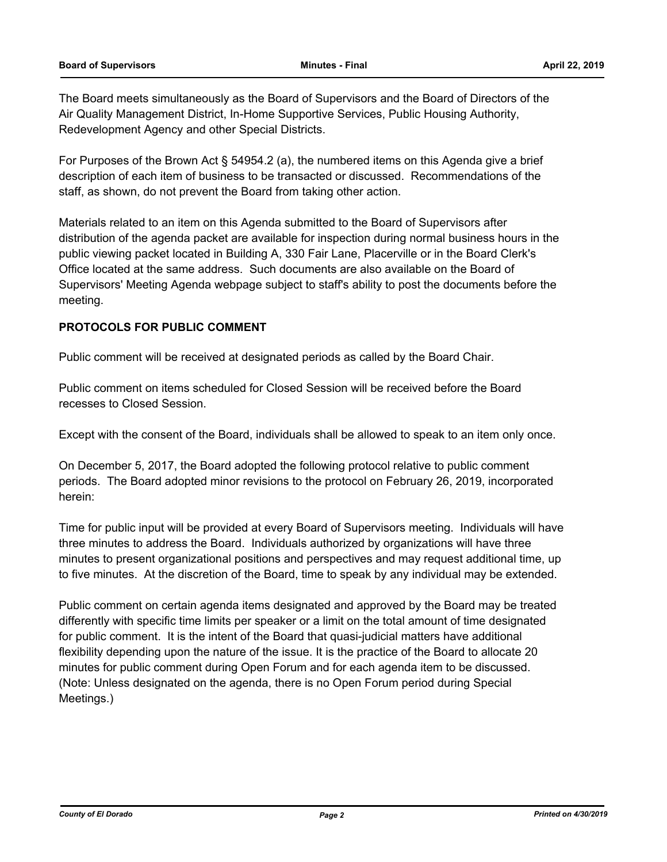The Board meets simultaneously as the Board of Supervisors and the Board of Directors of the Air Quality Management District, In-Home Supportive Services, Public Housing Authority, Redevelopment Agency and other Special Districts.

For Purposes of the Brown Act § 54954.2 (a), the numbered items on this Agenda give a brief description of each item of business to be transacted or discussed. Recommendations of the staff, as shown, do not prevent the Board from taking other action.

Materials related to an item on this Agenda submitted to the Board of Supervisors after distribution of the agenda packet are available for inspection during normal business hours in the public viewing packet located in Building A, 330 Fair Lane, Placerville or in the Board Clerk's Office located at the same address. Such documents are also available on the Board of Supervisors' Meeting Agenda webpage subject to staff's ability to post the documents before the meeting.

#### **PROTOCOLS FOR PUBLIC COMMENT**

Public comment will be received at designated periods as called by the Board Chair.

Public comment on items scheduled for Closed Session will be received before the Board recesses to Closed Session.

Except with the consent of the Board, individuals shall be allowed to speak to an item only once.

On December 5, 2017, the Board adopted the following protocol relative to public comment periods. The Board adopted minor revisions to the protocol on February 26, 2019, incorporated herein:

Time for public input will be provided at every Board of Supervisors meeting. Individuals will have three minutes to address the Board. Individuals authorized by organizations will have three minutes to present organizational positions and perspectives and may request additional time, up to five minutes. At the discretion of the Board, time to speak by any individual may be extended.

Public comment on certain agenda items designated and approved by the Board may be treated differently with specific time limits per speaker or a limit on the total amount of time designated for public comment. It is the intent of the Board that quasi-judicial matters have additional flexibility depending upon the nature of the issue. It is the practice of the Board to allocate 20 minutes for public comment during Open Forum and for each agenda item to be discussed. (Note: Unless designated on the agenda, there is no Open Forum period during Special Meetings.)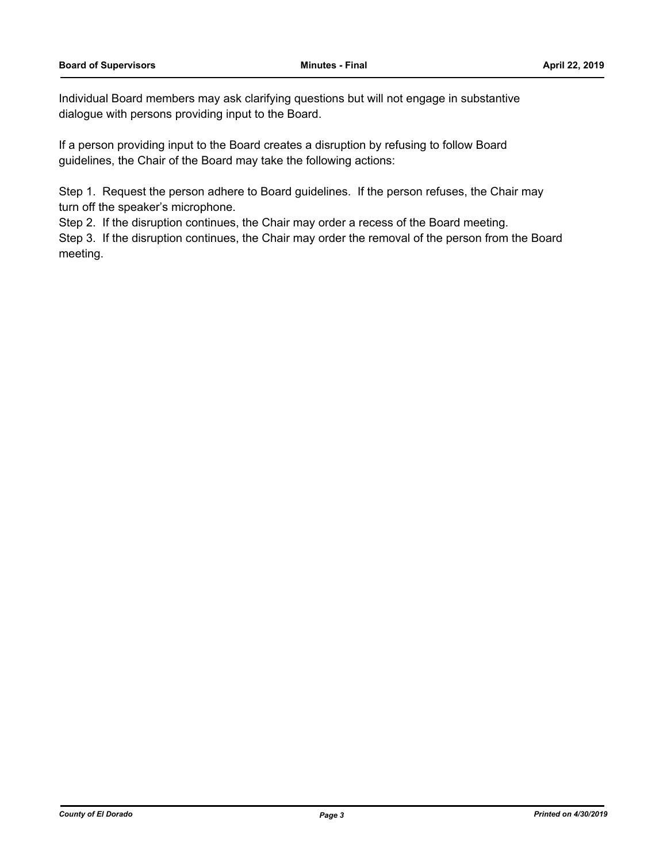Individual Board members may ask clarifying questions but will not engage in substantive dialogue with persons providing input to the Board.

If a person providing input to the Board creates a disruption by refusing to follow Board guidelines, the Chair of the Board may take the following actions:

Step 1. Request the person adhere to Board guidelines. If the person refuses, the Chair may turn off the speaker's microphone.

Step 2. If the disruption continues, the Chair may order a recess of the Board meeting.

Step 3. If the disruption continues, the Chair may order the removal of the person from the Board meeting.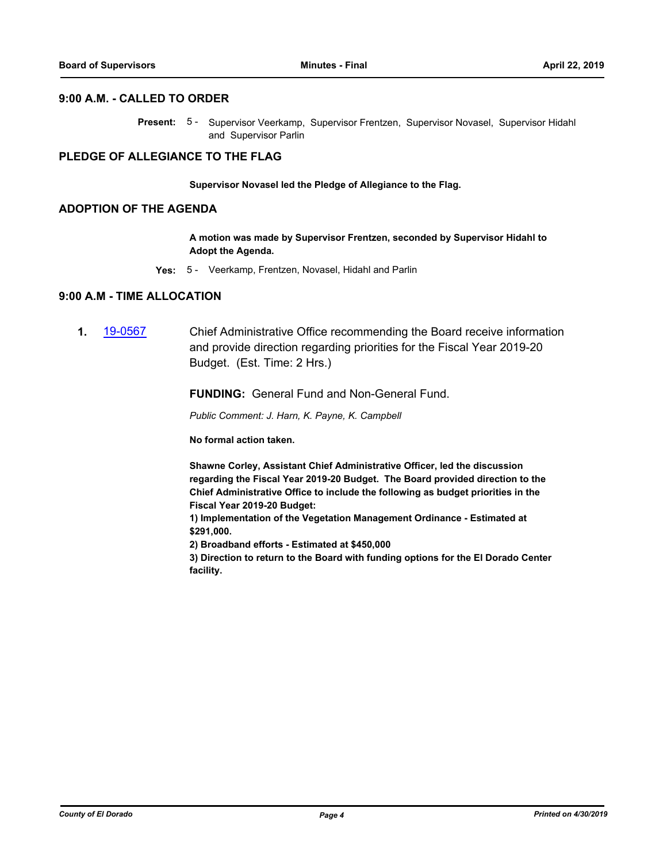#### **9:00 A.M. - CALLED TO ORDER**

Present: 5 - Supervisor Veerkamp, Supervisor Frentzen, Supervisor Novasel, Supervisor Hidahl and Supervisor Parlin

#### **PLEDGE OF ALLEGIANCE TO THE FLAG**

**Supervisor Novasel led the Pledge of Allegiance to the Flag.**

#### **ADOPTION OF THE AGENDA**

**A motion was made by Supervisor Frentzen, seconded by Supervisor Hidahl to Adopt the Agenda.**

**Yes:** 5 - Veerkamp, Frentzen, Novasel, Hidahl and Parlin

#### **9:00 A.M - TIME ALLOCATION**

**1.** [19-0567](http://eldorado.legistar.com/gateway.aspx?m=l&id=/matter.aspx?key=25888) Chief Administrative Office recommending the Board receive information and provide direction regarding priorities for the Fiscal Year 2019-20 Budget. (Est. Time: 2 Hrs.)

**FUNDING:** General Fund and Non-General Fund.

*Public Comment: J. Harn, K. Payne, K. Campbell*

**No formal action taken.** 

**Shawne Corley, Assistant Chief Administrative Officer, led the discussion regarding the Fiscal Year 2019-20 Budget. The Board provided direction to the Chief Administrative Office to include the following as budget priorities in the Fiscal Year 2019-20 Budget:**

**1) Implementation of the Vegetation Management Ordinance - Estimated at \$291,000.**

**2) Broadband efforts - Estimated at \$450,000**

**3) Direction to return to the Board with funding options for the El Dorado Center facility.**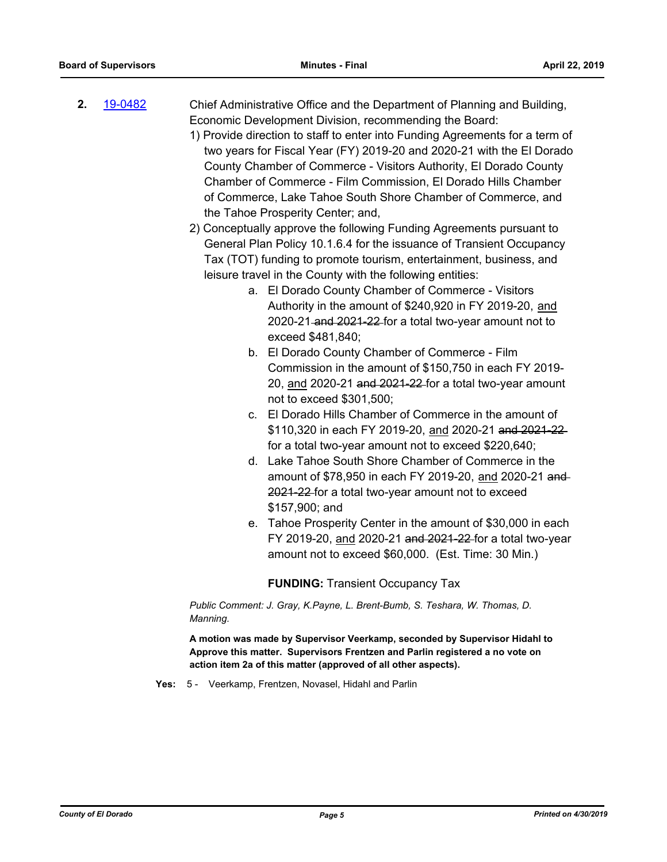**2.** [19-0482](http://eldorado.legistar.com/gateway.aspx?m=l&id=/matter.aspx?key=25803) Chief Administrative Office and the Department of Planning and Building, Economic Development Division, recommending the Board: 1) Provide direction to staff to enter into Funding Agreements for a term of

two years for Fiscal Year (FY) 2019-20 and 2020-21 with the El Dorado County Chamber of Commerce - Visitors Authority, El Dorado County Chamber of Commerce - Film Commission, El Dorado Hills Chamber of Commerce, Lake Tahoe South Shore Chamber of Commerce, and the Tahoe Prosperity Center; and,

2) Conceptually approve the following Funding Agreements pursuant to General Plan Policy 10.1.6.4 for the issuance of Transient Occupancy Tax (TOT) funding to promote tourism, entertainment, business, and leisure travel in the County with the following entities:

- a. El Dorado County Chamber of Commerce Visitors Authority in the amount of \$240,920 in FY 2019-20, and 2020-21 and 2021-22 for a total two-year amount not to exceed \$481,840;
- b. El Dorado County Chamber of Commerce Film Commission in the amount of \$150,750 in each FY 2019- 20, and 2020-21 and 2021-22 for a total two-year amount not to exceed \$301,500;
- c. El Dorado Hills Chamber of Commerce in the amount of \$110,320 in each FY 2019-20, and 2020-21 and 2021-22 for a total two-year amount not to exceed \$220,640;
- d. Lake Tahoe South Shore Chamber of Commerce in the amount of \$78,950 in each FY 2019-20, and 2020-21 and 2021-22 for a total two-year amount not to exceed \$157,900; and
- e. Tahoe Prosperity Center in the amount of \$30,000 in each FY 2019-20, and 2020-21 and 2021-22 for a total two-year amount not to exceed \$60,000. (Est. Time: 30 Min.)

**FUNDING:** Transient Occupancy Tax

*Public Comment: J. Gray, K.Payne, L. Brent-Bumb, S. Teshara, W. Thomas, D. Manning.*

**A motion was made by Supervisor Veerkamp, seconded by Supervisor Hidahl to Approve this matter. Supervisors Frentzen and Parlin registered a no vote on action item 2a of this matter (approved of all other aspects).**

**Yes:** 5 - Veerkamp, Frentzen, Novasel, Hidahl and Parlin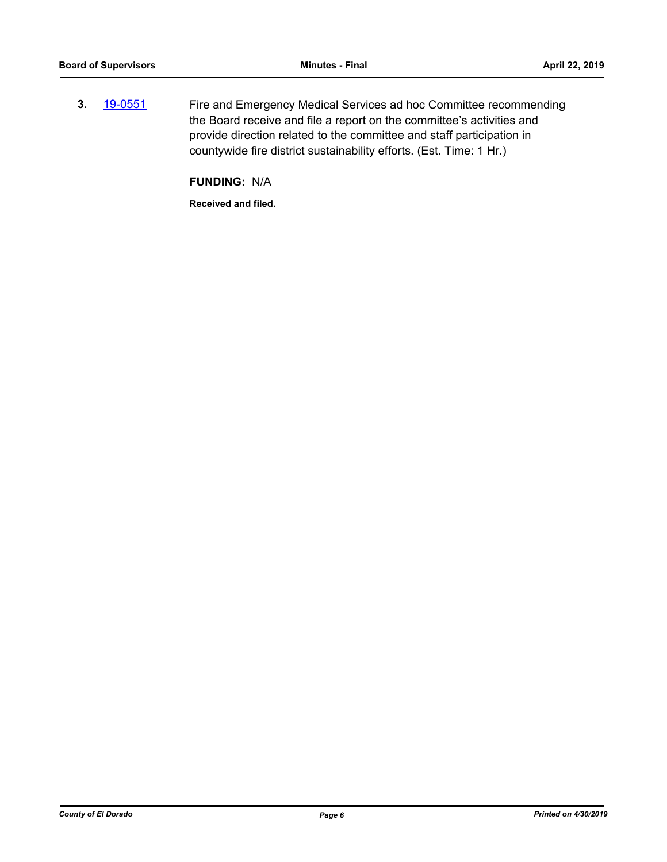**3.** [19-0551](http://eldorado.legistar.com/gateway.aspx?m=l&id=/matter.aspx?key=25872) Fire and Emergency Medical Services ad hoc Committee recommending the Board receive and file a report on the committee's activities and provide direction related to the committee and staff participation in countywide fire district sustainability efforts. (Est. Time: 1 Hr.)

**FUNDING:** N/A

**Received and filed.**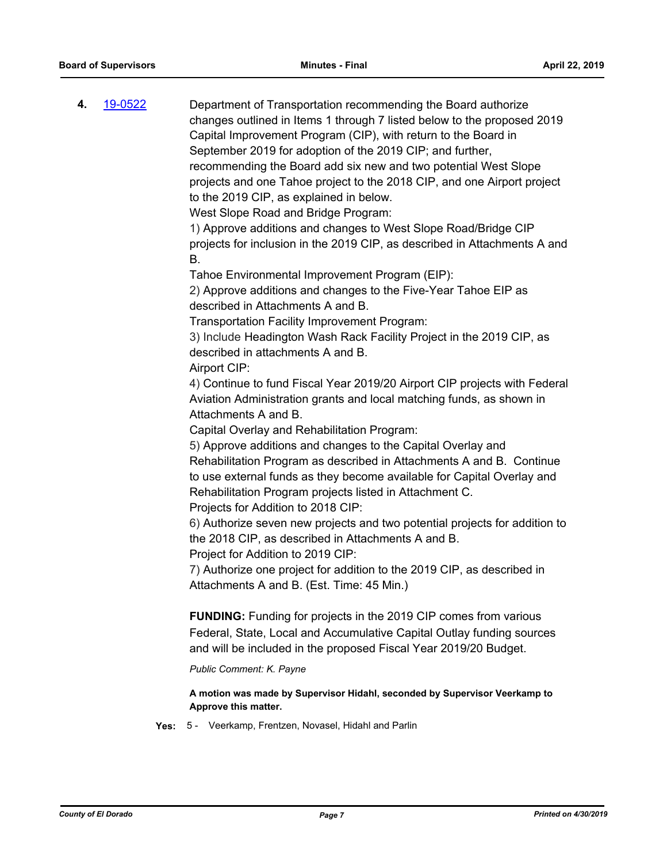| 4. | 19-0522 | Department of Transportation recommending the Board authorize<br>changes outlined in Items 1 through 7 listed below to the proposed 2019<br>Capital Improvement Program (CIP), with return to the Board in<br>September 2019 for adoption of the 2019 CIP; and further,<br>recommending the Board add six new and two potential West Slope<br>projects and one Tahoe project to the 2018 CIP, and one Airport project<br>to the 2019 CIP, as explained in below.<br>West Slope Road and Bridge Program:<br>1) Approve additions and changes to West Slope Road/Bridge CIP |
|----|---------|---------------------------------------------------------------------------------------------------------------------------------------------------------------------------------------------------------------------------------------------------------------------------------------------------------------------------------------------------------------------------------------------------------------------------------------------------------------------------------------------------------------------------------------------------------------------------|
|    |         | projects for inclusion in the 2019 CIP, as described in Attachments A and<br>В.                                                                                                                                                                                                                                                                                                                                                                                                                                                                                           |
|    |         | Tahoe Environmental Improvement Program (EIP):<br>2) Approve additions and changes to the Five-Year Tahoe EIP as<br>described in Attachments A and B.                                                                                                                                                                                                                                                                                                                                                                                                                     |
|    |         | Transportation Facility Improvement Program:<br>3) Include Headington Wash Rack Facility Project in the 2019 CIP, as<br>described in attachments A and B.<br>Airport CIP:                                                                                                                                                                                                                                                                                                                                                                                                 |
|    |         | 4) Continue to fund Fiscal Year 2019/20 Airport CIP projects with Federal<br>Aviation Administration grants and local matching funds, as shown in<br>Attachments A and B.                                                                                                                                                                                                                                                                                                                                                                                                 |
|    |         | Capital Overlay and Rehabilitation Program:<br>5) Approve additions and changes to the Capital Overlay and<br>Rehabilitation Program as described in Attachments A and B. Continue<br>to use external funds as they become available for Capital Overlay and<br>Rehabilitation Program projects listed in Attachment C.<br>Projects for Addition to 2018 CIP:                                                                                                                                                                                                             |
|    |         | 6) Authorize seven new projects and two potential projects for addition to<br>the 2018 CIP, as described in Attachments A and B.<br>Project for Addition to 2019 CIP:                                                                                                                                                                                                                                                                                                                                                                                                     |
|    |         | 7) Authorize one project for addition to the 2019 CIP, as described in<br>Attachments A and B. (Est. Time: 45 Min.)                                                                                                                                                                                                                                                                                                                                                                                                                                                       |
|    |         | <b>FUNDING:</b> Funding for projects in the 2019 CIP comes from various<br>Federal, State, Local and Accumulative Capital Outlay funding sources<br>and will be included in the proposed Fiscal Year 2019/20 Budget.                                                                                                                                                                                                                                                                                                                                                      |
|    |         | Public Comment: K. Payne                                                                                                                                                                                                                                                                                                                                                                                                                                                                                                                                                  |
|    |         | A motion was made by Supervisor Hidahl, seconded by Supervisor Veerkamp to<br>Approve this matter.                                                                                                                                                                                                                                                                                                                                                                                                                                                                        |

**Yes:** 5 - Veerkamp, Frentzen, Novasel, Hidahl and Parlin